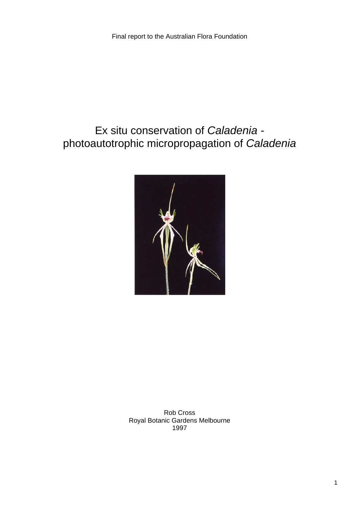# Ex situ conservation of *Caladenia*  photoautotrophic micropropagation of *Caladenia*



Rob Cross Royal Botanic Gardens Melbourne 1997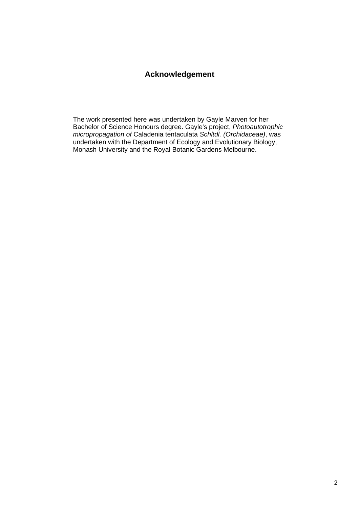### **Acknowledgement**

The work presented here was undertaken by Gayle Marven for her Bachelor of Science Honours degree. Gayle's project, *Photoautotrophic micropropagation of* Caladenia tentaculata *Schltdl. (Orchidaceae)*, was undertaken with the Department of Ecology and Evolutionary Biology, Monash University and the Royal Botanic Gardens Melbourne.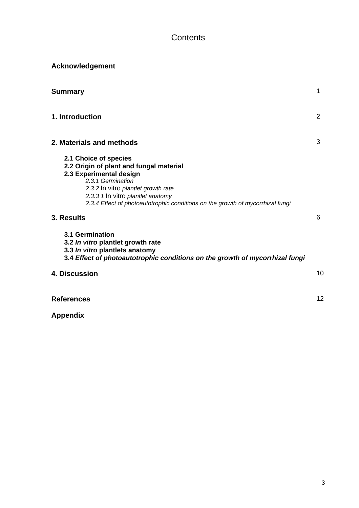### **Contents**

| <b>Acknowledgement</b> |  |
|------------------------|--|
|                        |  |

| <b>Summary</b>                                                                                                                                                                                                                                                                 | 1  |
|--------------------------------------------------------------------------------------------------------------------------------------------------------------------------------------------------------------------------------------------------------------------------------|----|
| 1. Introduction                                                                                                                                                                                                                                                                | 2  |
| 2. Materials and methods                                                                                                                                                                                                                                                       | 3  |
| 2.1 Choice of species<br>2.2 Origin of plant and fungal material<br>2.3 Experimental design<br>2.3.1 Germination<br>2.3.2 In vitro plantlet growth rate<br>2.3.3 1 In vitro plantlet anatomy<br>2.3.4 Effect of photoautotrophic conditions on the growth of mycorrhizal fungi |    |
| 3. Results                                                                                                                                                                                                                                                                     | 6  |
| 3.1 Germination<br>3.2 In vitro plantlet growth rate<br>3.3 In vitro plantlets anatomy<br>3.4 Effect of photoautotrophic conditions on the growth of mycorrhizal fungi                                                                                                         |    |
| 4. Discussion                                                                                                                                                                                                                                                                  | 10 |
| <b>References</b>                                                                                                                                                                                                                                                              | 12 |

**Appendix**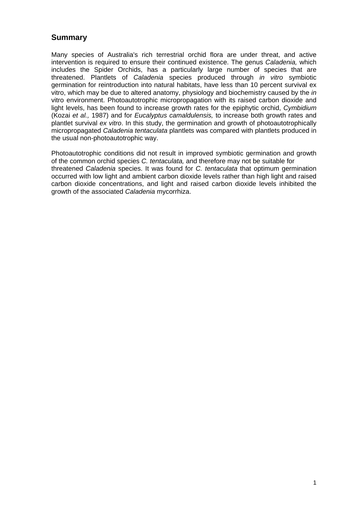### **Summary**

Many species of Australia's rich terrestrial orchid flora are under threat, and active intervention is required to ensure their continued existence. The genus *Caladenia,* which includes the Spider Orchids, has a particularly large number of species that are threatened. Plantlets of *Caladenia* species produced through *in vitro* symbiotic germination for reintroduction into natural habitats, have less than 10 percent survival ex vitro, which may be due to altered anatomy, physiology and biochemistry caused by the *in*  vitro environment. Photoautotrophic micropropagation with its raised carbon dioxide and light levels, has been found to increase growth rates for the epiphytic orchid, *Cymbidium* (Kozai *et al.,* 1987) and for *Eucalyptus camaldulensis,* to increase both growth rates and plantlet survival *ex vitro*. In this study, the germination and growth of photoautotrophically micropropagated *Caladenia tentaculata* plantlets was compared with plantlets produced in the usual non-photoautotrophic way.

Photoautotrophic conditions did not result in improved symbiotic germination and growth of the common orchid species *C. tentaculata,* and therefore may not be suitable for threatened *Caladenia* species. It was found for *C. tentaculata* that optimum germination occurred with low light and ambient carbon dioxide levels rather than high light and raised carbon dioxide concentrations, and light and raised carbon dioxide levels inhibited the growth of the associated *Caladenia* mycorrhiza.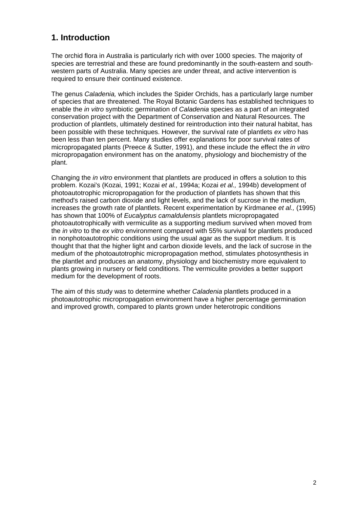### **1. Introduction**

The orchid flora in Australia is particularly rich with over 1000 species. The majority of species are terrestrial and these are found predominantly in the south-eastern and southwestern parts of Australia. Many species are under threat, and active intervention is required to ensure their continued existence.

The genus *Caladenia,* which includes the Spider Orchids, has a particularly large number of species that are threatened. The Royal Botanic Gardens has established techniques to enable the *in vitro* symbiotic germination of *Caladenia* species as a part of an integrated conservation project with the Department of Conservation and Natural Resources. The production of plantlets, ultimately destined for reintroduction into their natural habitat, has been possible with these techniques. However, the survival rate of plantlets *ex vitro* has been less than ten percent. Many studies offer explanations for poor survival rates of micropropagated plants (Preece & Sutter, 1991), and these include the effect the *in vitro* micropropagation environment has on the anatomy, physiology and biochemistry of the plant.

Changing the *in vitro* environment that plantlets are produced in offers a solution to this problem. Kozai's (Kozai, 1991; Kozai *et al.,* 1994a; Kozai *et al.,* 1994b) development of photoautotrophic micropropagation for the production of plantlets has shown that this method's raised carbon dioxide and light levels, and the lack of sucrose in the medium, increases the growth rate of plantlets. Recent experimentation by Kirdmanee *et al.,* (1995) has shown that 100% of *Eucalyptus camaldulensis* plantlets micropropagated photoautotrophically with vermiculite as a supporting medium survived when moved from the *in vitro* to the *ex vitro* environment compared with 55% survival for plantlets produced in nonphotoautotrophic conditions using the usual agar as the support medium. It is thought that that the higher light and carbon dioxide levels, and the lack of sucrose in the medium of the photoautotrophic micropropagation method, stimulates photosynthesis in the plantlet and produces an anatomy, physiology and biochemistry more equivalent to plants growing in nursery or field conditions. The vermiculite provides a better support medium for the development of roots.

The aim of this study was to determine whether *Caladenia* plantlets produced in a photoautotrophic micropropagation environment have a higher percentage germination and improved growth, compared to plants grown under heterotropic conditions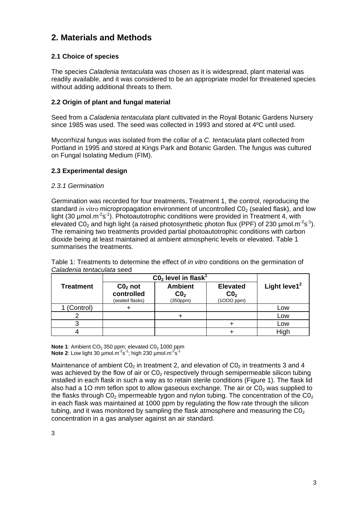### **2. Materials and Methods**

#### **2.1 Choice of species**

The species *Caladenia tentaculata* was chosen as it is widespread, plant material was readily available, and it was considered to be an appropriate model for threatened species without adding additional threats to them.

#### **2.2 Origin of plant and fungal material**

Seed from a *Caladenia tentaculata* plant cultivated in the Royal Botanic Gardens Nursery since 1985 was used. The seed was collected in 1993 and stored at 4ºC until used.

Mycorrhizal fungus was isolated from the collar of a *C. tentaculata* plant collected from Portland in 1995 and stored at Kings Park and Botanic Garden. The fungus was cultured on Fungal Isolating Medium (FIM).

#### **2.3 Experimental design**

#### *2.3.1 Germination*

Germination was recorded for four treatments, Treatment 1, the control, reproducing the standard *in vitro* micropropagation environment of uncontrolled C0<sub>2</sub> (sealed flask), and low light (30  $\mu$ mol.m<sup>-2</sup>s<sup>-1</sup>). Photoautotrophic conditions were provided in Treatment 4, with elevated C0<sub>2</sub> and high light (a raised photosynthetic photon flux (PPF) of 230  $\mu$ mol.m<sup>-2</sup>s<sup>-1</sup>). The remaining two treatments provided partial photoautotrophic conditions with carbon dioxide being at least maintained at ambient atmospheric levels or elevated. Table 1 summarises the treatments.

|                  | $CO2$ level in flask <sup>1</sup>          |                                               |                                                       |                 |
|------------------|--------------------------------------------|-----------------------------------------------|-------------------------------------------------------|-----------------|
| <b>Treatment</b> | $CO2$ not<br>controlled<br>(sealed flasks) | <b>Ambient</b><br>CO <sub>2</sub><br>(350ppm) | <b>Elevated</b><br>CO <sub>2</sub><br>$(1000$ ppm $)$ | Light leve1 $2$ |
| 1 (Control)      |                                            |                                               |                                                       | Low             |
|                  |                                            |                                               |                                                       | Low             |
|                  |                                            |                                               |                                                       | Low             |
|                  |                                            |                                               |                                                       | High            |

Table 1: Treatments to determine the effect of *in vitro* conditions on the germination of *Caladenia tentaculata* seed

**Note 1**: Ambient CO<sub>2</sub> 350 ppm; elevated CO<sub>2</sub> 1000 ppm **Note 2:** Low light 30  $\mu$ mol.m<sup>-2</sup>s<sup>-1</sup>; high 230  $\mu$ mol.m<sup>-2</sup>s<sup>-1</sup>

Maintenance of ambient  $CO<sub>2</sub>$  in treatment 2, and elevation of  $CO<sub>2</sub>$  in treatments 3 and 4 was achieved by the flow of air or  $CO<sub>2</sub>$  respectively through semipermeable silicon tubing installed in each flask in such a way as to retain sterile conditions (Figure 1). The flask lid also had a 10 mm teflon spot to allow gaseous exchange. The air or  $CO<sub>2</sub>$  was supplied to the flasks through  $CO<sub>2</sub>$  impermeable tygon and nylon tubing. The concentration of the  $CO<sub>2</sub>$ in each flask was maintained at 1000 ppm by regulating the flow rate through the silicon tubing, and it was monitored by sampling the flask atmosphere and measuring the  $CO<sub>2</sub>$ concentration in a gas analyser against an air standard.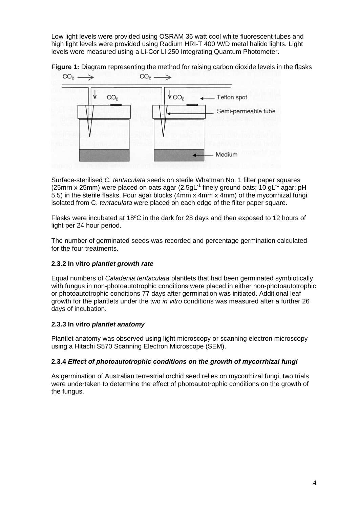Low light levels were provided using OSRAM 36 watt cool white fluorescent tubes and high light levels were provided using Radium HRI-T 400 W/D metal halide lights. Light levels were measured using a Li-Cor Ll 250 Integrating Quantum Photometer.



**Figure 1:** Diagram representing the method for raising carbon dioxide levels in the flasks

Surface-sterilised *C. tentaculata* seeds on sterile Whatman No. 1 filter paper squares (25mm x 25mm) were placed on oats agar (2.5gL $^1$  finely ground oats; 10 gL $^1$  agar; pH 5.5) in the sterile flasks. Four agar blocks (4mm x 4mm x 4mm) of the mycorrhizal fungi isolated from C. *tentaculata* were placed on each edge of the filter paper square.

Flasks were incubated at 18ºC in the dark for 28 days and then exposed to 12 hours of light per 24 hour period.

The number of germinated seeds was recorded and percentage germination calculated for the four treatments.

#### **2.3.2 In vitro** *plantlet growth rate*

Equal numbers of *Caladenia tentaculata* plantlets that had been germinated symbiotically with fungus in non-photoautotrophic conditions were placed in either non-photoautotrophic or photoautotrophic conditions 77 days after germination was initiated. Additional leaf growth for the plantlets under the two *in vitro* conditions was measured after a further 26 days of incubation.

#### **2.3.3 In vitro** *plantlet anatomy*

Plantlet anatomy was observed using light microscopy or scanning electron microscopy using a Hitachi S570 Scanning Electron Microscope (SEM).

#### **2.3.4** *Effect of photoautotrophic conditions on the growth of mycorrhizal fungi*

As germination of Australian terrestrial orchid seed relies on mycorrhizal fungi, two trials were undertaken to determine the effect of photoautotrophic conditions on the growth of the fungus.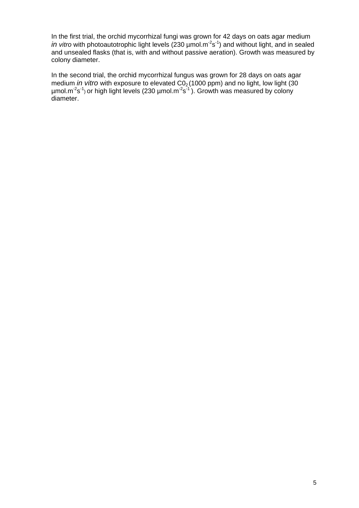In the first trial, the orchid mycorrhizal fungi was grown for 42 days on oats agar medium *in vitro* with photoautotrophic light levels (230 µmol.m<sup>-2</sup>s<sup>-1</sup>) and without light, and in sealed and unsealed flasks (that is, with and without passive aeration). Growth was measured by colony diameter.

In the second trial, the orchid mycorrhizal fungus was grown for 28 days on oats agar medium *in vitro* with exposure to elevated CO<sub>2</sub> (1000 ppm) and no light, low light (30  $\mu$ mol.m<sup>-2</sup>s<sup>-1</sup>) or high light levels (230  $\mu$ mol.m<sup>-2</sup>s<sup>-1</sup>). Growth was measured by colony diameter.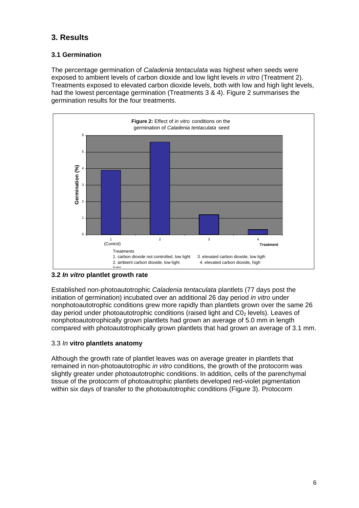### **3. Results**

#### **3.1 Germination**

The percentage germination of *Caladenia tentaculata* was highest when seeds were exposed to ambient levels of carbon dioxide and low light levels *in vitro* (Treatment 2). Treatments exposed to elevated carbon dioxide levels, both with low and high light levels, had the lowest percentage germination (Treatments 3 & 4). Figure 2 summarises the germination results for the four treatments.



#### **3.2** *In vitro* **plantlet growth rate**

Established non-photoautotrophic *Caladenia tentaculata* plantlets (77 days post the initiation of germination) incubated over an additional 26 day period *in vitro* under nonphotoautotrophic conditions grew more rapidly than plantlets grown over the same 26 day period under photoautotrophic conditions (raised light and  $CO<sub>2</sub>$  levels). Leaves of nonphotoautotrophically grown plantlets had grown an average of 5.0 mm in length compared with photoautotrophically grown plantlets that had grown an average of 3.1 mm.

#### 3.3 *In* **vitro plantlets anatomy**

Although the growth rate of plantlet leaves was on average greater in plantlets that remained in non-photoautotrophic *in vitro* conditions, the growth of the protocorm was slightly greater under photoautotrophic conditions. In addition, cells of the parenchymal tissue of the protocorm of photoautrophic plantlets developed red-violet pigmentation within six days of transfer to the photoautotrophic conditions (Figure 3). Protocorm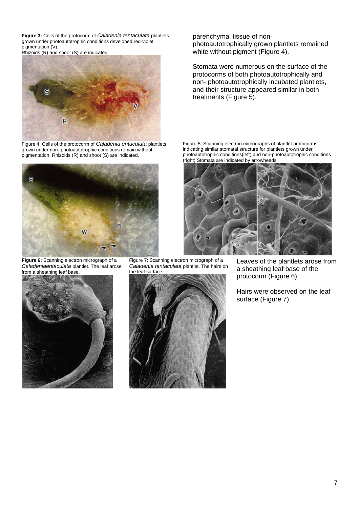**Figure 3:** Cells of the protocorm of *Caladenia tentaculata* plantlets grown under photoautotrophic conditions developed red-violet pigmentation (V).

Rhizoids (R) and shoot (S) are indicated



Figure 4: Cells of the protocorm of *Caladenia entaculata* plantlets grown under non- photoautotrophic conditions remain without pigmentation. Rhizoids (R) and shoot (S) are indicated.



**Figure 6:** Scanning electron micrograph of a *Caladeniaentaculata* plantlet. The leaf arose from a sheathing leaf base.



Figure 7: Scanning electron micrograph of a *Caladenia tentaculata* plantlet. The hairs on the leaf surface.

![](_page_9_Picture_8.jpeg)

parenchymal tissue of nonphotoautotrophically grown plantlets remained white without pigment (Figure 4).

Stomata were numerous on the surface of the protocorms of both photoautotrophically and non- photoautotrophically incubated plantlets, and their structure appeared similar in both treatments (Figure 5).

Figure 5: Scanning electron micrographs of plantlet protocorms indicating similar stomatal structure for plantlets grown under photoautotrophic conditions(left) and non-photoautotrophic conditions (right) Stomata are indicated by arrowheads.

![](_page_9_Picture_12.jpeg)

Leaves of the plantlets arose from a sheathing leaf base of the protocorm (Figure 6).

Hairs were observed on the leaf surface (Figure 7).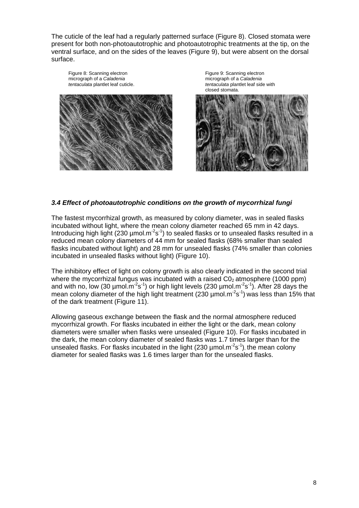The cuticle of the leaf had a regularly patterned surface (Figure 8). Closed stomata were present for both non-photoautotrophic and photoautotrophic treatments at the tip, on the ventral surface, and on the sides of the leaves (Figure 9), but were absent on the dorsal surface.

Figure 8: Scanning electron micrograph of a *Caladenia tentaculata* plantlet leaf cuticle.

![](_page_10_Picture_2.jpeg)

Figure 9: Scanning electron micrograph of a *Caladenia tentaculata* plantlet leaf side with closed stomata.

![](_page_10_Picture_4.jpeg)

#### *3.4 Effect of photoautotrophic conditions on the growth of mycorrhizal fungi*

The fastest mycorrhizal growth, as measured by colony diameter, was in sealed flasks incubated without light, where the mean colony diameter reached 65 mm in 42 days. Introducing high light (230 µmol.m<sup>-2</sup>s<sup>-1</sup>) to sealed flasks or to unsealed flasks resulted in a reduced mean colony diameters of 44 mm for sealed flasks (68% smaller than sealed flasks incubated without light) and 28 mm for unsealed flasks (74% smaller than colonies incubated in unsealed flasks without light) (Figure 10).

The inhibitory effect of light on colony growth is also clearly indicated in the second trial where the mycorrhizal fungus was incubated with a raised  $CO<sub>2</sub>$  atmosphere (1000 ppm) and with no, low (30  $\mu$ mol.m<sup>-2</sup>s<sup>-1</sup>) or high light levels (230  $\mu$ mol.m<sup>-2</sup>s<sup>-1</sup>). After 28 days the mean colony diameter of the high light treatment (230  $\mu$ mol.m<sup>-2</sup>s<sup>-1</sup>) was less than 15% that of the dark treatment (Figure 11).

Allowing gaseous exchange between the flask and the normal atmosphere reduced mycorrhizal growth. For flasks incubated in either the light or the dark, mean colony diameters were smaller when flasks were unsealed (Figure 10). For flasks incubated in the dark, the mean colony diameter of sealed flasks was 1.7 times larger than for the unsealed flasks. For flasks incubated in the light (230  $\mu$ mol.m<sup>-2</sup>s<sup>-1</sup>), the mean colony diameter for sealed flasks was 1.6 times larger than for the unsealed flasks.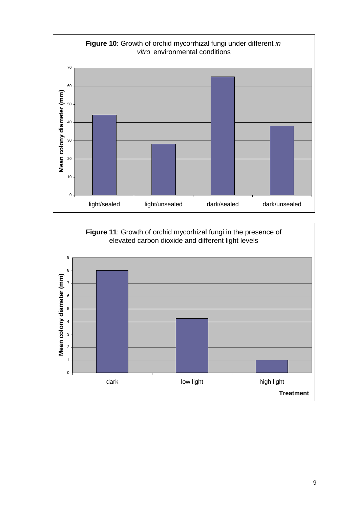![](_page_11_Figure_0.jpeg)

![](_page_11_Figure_1.jpeg)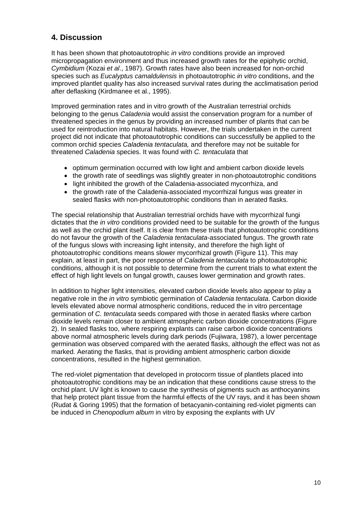### **4. Discussion**

It has been shown that photoautotrophic *in vitro* conditions provide an improved micropropagation environment and thus increased growth rates for the epiphytic orchid, *Cymbidium* (Kozai *et al*., 1987). Growth rates have also been increased for non-orchid species such as *Eucalyptus camaldulensis* in photoautotrophic *in vitro* conditions, and the improved plantlet quality has also increased survival rates during the acclimatisation period after deflasking (Kirdmanee et al., 1995).

Improved germination rates and in vitro growth of the Australian terrestrial orchids belonging to the genus *Caladenia* would assist the conservation program for a number of threatened species in the genus by providing an increased number of plants that can be used for reintroduction into natural habitats. However, the trials undertaken in the current project did not indicate that photoautotrophic conditions can successfully be applied to the common orchid species *Caladenia tentaculata,* and therefore may not be suitable for threatened *Caladenia* species. It was found with *C. tentaculata* that

- optimum germination occurred with low light and ambient carbon dioxide levels
- the growth rate of seedlings was slightly greater in non-photoautotrophic conditions
- light inhibited the growth of the Caladenia-associated mycorrhiza, and
- the growth rate of the Caladenia-associated mycorrhizal fungus was greater in sealed flasks with non-photoautotrophic conditions than in aerated flasks.

The special relationship that Australian terrestrial orchids have with mycorrhizal fungi dictates that the *in vitro* conditions provided need to be suitable for the growth of the fungus as well as the orchid plant itself. It is clear from these trials that photoautotrophic conditions do not favour the growth of the *Caladenia tentaculata*-associated fungus. The growth rate of the fungus slows with increasing light intensity, and therefore the high light of photoautotrophic conditions means slower mycorrhizal growth (Figure 11). This may explain, at least in part, the poor response of *Caladenia tentaculata* to photoautotrophic conditions, although it is not possible to determine from the current trials to what extent the effect of high light levels on fungal growth, causes lower germination and growth rates.

In addition to higher light intensities, elevated carbon dioxide levels also appear to play a negative role in the *in vitro* symbiotic germination of *Caladenia tentaculata*. Carbon dioxide levels elevated above normal atmospheric conditions, reduced the in vitro percentage germination of *C. tentaculata* seeds compared with those in aerated flasks where carbon dioxide levels remain closer to ambient atmospheric carbon dioxide concentrations (Figure 2). In sealed flasks too, where respiring explants can raise carbon dioxide concentrations above normal atmospheric levels during dark periods (Fujiwara, 1987), a lower percentage germination was observed compared with the aerated flasks, although the effect was not as marked. Aerating the flasks, that is providing ambient atmospheric carbon dioxide concentrations, resulted in the highest germination.

The red-violet pigmentation that developed in protocorm tissue of plantlets placed into photoautotrophic conditions may be an indication that these conditions cause stress to the orchid plant. UV light is known to cause the synthesis of pigments such as anthocyanins that help protect plant tissue from the harmful effects of the UV rays, and it has been shown (Rudat & Goring 1995) that the formation of betacyanin-containing red-violet pigments can be induced in *Chenopodium album* in vitro by exposing the explants with UV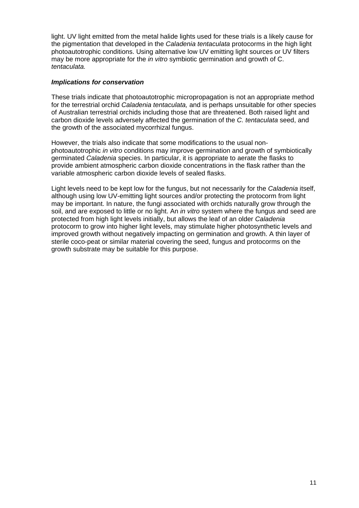light. UV light emitted from the metal halide lights used for these trials is a likely cause for the pigmentation that developed in the *Caladenia tentaculata* protocorms in the high light photoautotrophic conditions. Using alternative low UV emitting light sources or UV filters may be more appropriate for the *in vitro* symbiotic germination and growth of C. *tentaculata.* 

#### *Implications for conservation*

These trials indicate that photoautotrophic micropropagation is not an appropriate method for the terrestrial orchid *Caladenia tentaculata,* and is perhaps unsuitable for other species of Australian terrestrial orchids including those that are threatened. Both raised light and carbon dioxide levels adversely affected the germination of the *C. tentaculata* seed, and the growth of the associated mycorrhizal fungus.

However, the trials also indicate that some modifications to the usual nonphotoautotrophic *in vitro* conditions may improve germination and growth of symbiotically germinated *Caladenia* species. In particular, it is appropriate to aerate the flasks to provide ambient atmospheric carbon dioxide concentrations in the flask rather than the variable atmospheric carbon dioxide levels of sealed flasks.

Light levels need to be kept low for the fungus, but not necessarily for the *Caladenia* itself, although using low UV-emitting light sources and/or protecting the protocorm from light may be important. In nature, the fungi associated with orchids naturally grow through the soil, and are exposed to little or no light. An *in vitro* system where the fungus and seed are protected from high light levels initially, but allows the leaf of an older *Caladenia*  protocorm to grow into higher light levels, may stimulate higher photosynthetic levels and improved growth without negatively impacting on germination and growth. A thin layer of sterile coco-peat or similar material covering the seed, fungus and protocorms on the growth substrate may be suitable for this purpose.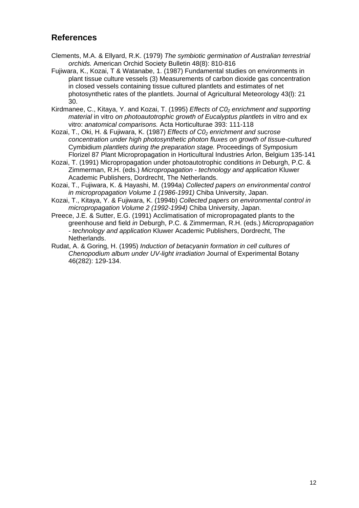### **References**

- Clements, M.A. & Ellyard, R.K. (1979) *The symbiotic germination of Australian terrestrial orchids.* American Orchid Society Bulletin 48(8): 810-816
- Fujiwara, K., Kozai, T & Watanabe, 1. (1987) Fundamental studies on environments in plant tissue culture vessels (3) Measurements of carbon dioxide gas concentration in closed vessels containing tissue cultured plantlets and estimates of net photosynthetic rates of the plantlets. Journal of Agricultural Meteorology 43(l): 21 30.
- Kirdmanee, C., Kitaya, Y. and Kozai, T. (1995) *Effects of C0<sub>2</sub> enrichment and supporting material* in vitro *on photoautotrophic growth of Eucalyptus plantlets* in vitro and ex vitro: *anatomical comparisons.* Acta Horticulturae 393: 111-118
- Kozai, T., Oki, H. & Fujiwara, K. (1987) *Effects of C0<sub>2</sub> enrichment and sucrose concentration under high photosynthetic photon fluxes on growth of tissue-cultured*  Cymbidium *plantlets during the preparation stage.* Proceedings of Symposium Florizel 87 Plant Micropropagation in Horticultural Industries Arlon, Belgium 135-141
- Kozai, T. (1991) Micropropagation under photoautotrophic conditions *in* Deburgh, P.C. & Zimmerman, R.H. (eds.) *Micropropagation - technology and application* Kluwer Academic Publishers, Dordrecht, The Netherlands.
- Kozai, T., Fujiwara, K. & Hayashi, M. (1994a) *Collected papers on environmental control in micropropagation Volume 1 (1986-1991)* Chiba University, Japan.
- Kozai, T., Kitaya, Y. & Fujiwara, K. (1994b) *Collected papers on environmental control in micropropagation Volume 2 (1992-1994)* Chiba University, Japan.
- Preece, J.E. & Sutter, E.G. (1991) Acclimatisation of micropropagated plants to the greenhouse and field *in* Deburgh, P.C. & Zimmerman, R.H. (eds.) *Micropropagation - technology and application* Kluwer Academic Publishers, Dordrecht, The Netherlands.
- Rudat, A. & Goring, H. (1995) *Induction of betacyanin formation in cell cultures of Chenopodium album under UV-light irradiation* Journal of Experimental Botany 46(282): 129-134.